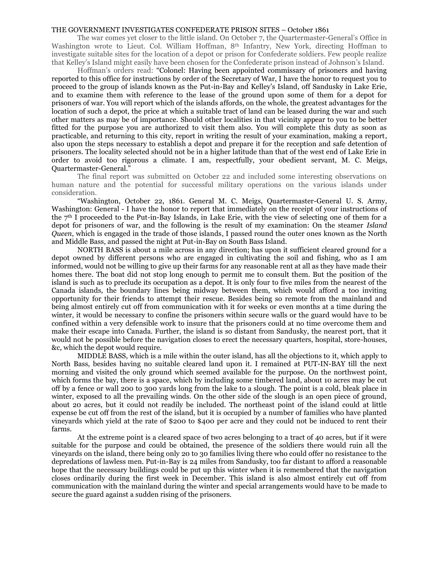## THE GOVERNMENT INVESTIGATES CONFEDERATE PRISON SITES – October 1861

The war comes yet closer to the little island. On October 7, the Quartermaster-General's Office in Washington wrote to Lieut. Col. William Hoffman, 8th Infantry, New York, directing Hoffman to investigate suitable sites for the location of a depot or prison for Confederate soldiers. Few people realize that Kelley's Island might easily have been chosen for the Confederate prison instead of Johnson's Island.

Hoffman's orders read: "Colonel: Having been appointed commissary of prisoners and having reported to this office for instructions by order of the Secretary of War, I have the honor to request you to proceed to the group of islands known as the Put-in-Bay and Kelley's Island, off Sandusky in Lake Erie, and to examine them with reference to the lease of the ground upon some of them for a depot for prisoners of war. You will report which of the islands affords, on the whole, the greatest advantages for the location of such a depot, the price at which a suitable tract of land can be leased during the war and such other matters as may be of importance. Should other localities in that vicinity appear to you to be better fitted for the purpose you are authorized to visit them also. You will complete this duty as soon as practicable, and returning to this city, report in writing the result of your examination, making a report, also upon the steps necessary to establish a depot and prepare it for the reception and safe detention of prisoners. The locality selected should not be in a higher latitude than that of the west end of Lake Erie in order to avoid too rigorous a climate. I am, respectfully, your obedient servant, M. C. Meigs, Quartermaster-General."

The final report was submitted on October 22 and included some interesting observations on human nature and the potential for successful military operations on the various islands under consideration.

"Washington, October 22, 1861. General M. C. Meigs, Quartermaster-General U. S. Army, Washington: General - I have the honor to report that immediately on the receipt of your instructions of the  $7<sup>th</sup>$  I proceeded to the Put-in-Bay Islands, in Lake Erie, with the view of selecting one of them for a depot for prisoners of war, and the following is the result of my examination: On the steamer *Island Queen*, which is engaged in the trade of those islands, I passed round the outer ones known as the North and Middle Bass, and passed the night at Put-in-Bay on South Bass Island.

NORTH BASS is about a mile across in any direction; has upon it sufficient cleared ground for a depot owned by different persons who are engaged in cultivating the soil and fishing, who as I am informed, would not be willing to give up their farms for any reasonable rent at all as they have made their homes there. The boat did not stop long enough to permit me to consult them. But the position of the island is such as to preclude its occupation as a depot. It is only four to five miles from the nearest of the Canada islands, the boundary lines being midway between them, which would afford a too inviting opportunity for their friends to attempt their rescue. Besides being so remote from the mainland and being almost entirely cut off from communication with it for weeks or even months at a time during the winter, it would be necessary to confine the prisoners within secure walls or the guard would have to be confined within a very defensible work to insure that the prisoners could at no time overcome them and make their escape into Canada. Further, the island is so distant from Sandusky, the nearest port, that it would not be possible before the navigation closes to erect the necessary quarters, hospital, store-houses, &c, which the depot would require.

MIDDLE BASS, which is a mile within the outer island, has all the objections to it, which apply to North Bass, besides having no suitable cleared land upon it. I remained at PUT-IN-BAY till the next morning and visited the only ground which seemed available for the purpose. On the northwest point, which forms the bay, there is a space, which by including some timbered land, about 10 acres may be cut off by a fence or wall 200 to 300 yards long from the lake to a slough. The point is a cold, bleak place in winter, exposed to all the prevailing winds. On the other side of the slough is an open piece of ground, about 20 acres, but it could not readily be included. The northeast point of the island could at little expense be cut off from the rest of the island, but it is occupied by a number of families who have planted vineyards which yield at the rate of \$200 to \$400 per acre and they could not be induced to rent their farms.

At the extreme point is a cleared space of two acres belonging to a tract of 40 acres, but if it were suitable for the purpose and could be obtained, the presence of the soldiers there would ruin all the vineyards on the island, there being only 20 to 30 families living there who could offer no resistance to the depredations of lawless men. Put-in-Bay is 24 miles from Sandusky, too far distant to afford a reasonable hope that the necessary buildings could be put up this winter when it is remembered that the navigation closes ordinarily during the first week in December. This island is also almost entirely cut off from communication with the mainland during the winter and special arrangements would have to be made to secure the guard against a sudden rising of the prisoners.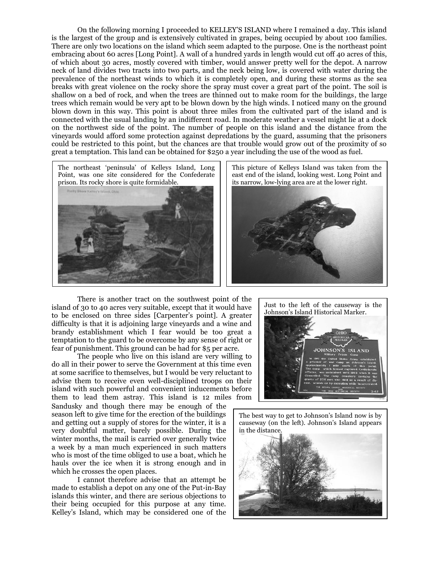On the following morning I proceeded to KELLEY'S ISLAND where I remained a day. This island is the largest of the group and is extensively cultivated in grapes, being occupied by about 100 families. There are only two locations on the island which seem adapted to the purpose. One is the northeast point embracing about 60 acres [Long Point]. A wall of a hundred yards in length would cut off 40 acres of this, of which about 30 acres, mostly covered with timber, would answer pretty well for the depot. A narrow neck of land divides two tracts into two parts, and the neck being low, is covered with water during the prevalence of the northeast winds to which it is completely open, and during these storms as the sea breaks with great violence on the rocky shore the spray must cover a great part of the point. The soil is shallow on a bed of rock, and when the trees are thinned out to make room for the buildings, the large trees which remain would be very apt to be blown down by the high winds. I noticed many on the ground blown down in this way. This point is about three miles from the cultivated part of the island and is connected with the usual landing by an indifferent road. In moderate weather a vessel might lie at a dock on the northwest side of the point. The number of people on this island and the distance from the vineyards would afford some protection against depredations by the guard, assuming that the prisoners could be restricted to this point, but the chances are that trouble would grow out of the proximity of so great a temptation. This land can be obtained for \$250 a year including the use of the wood as fuel.





There is another tract on the southwest point of the island of 30 to 40 acres very suitable, except that it would have to be enclosed on three sides [Carpenter's point]. A greater difficulty is that it is adjoining large vineyards and a wine and brandy establishment which I fear would be too great a temptation to the guard to be overcome by any sense of right or fear of punishment. This ground can be had for \$5 per acre.

The people who live on this island are very willing to do all in their power to serve the Government at this time even at some sacrifice to themselves, but I would be very reluctant to advise them to receive even well-disciplined troops on their island with such powerful and convenient inducements before them to lead them astray. This island is 12 miles from Sandusky and though there may be enough of the

season left to give time for the erection of the buildings and getting out a supply of stores for the winter, it is a very doubtful matter, barely possible. During the winter months, the mail is carried over generally twice a week by a man much experienced in such matters who is most of the time obliged to use a boat, which he hauls over the ice when it is strong enough and in which he crosses the open places.

I cannot therefore advise that an attempt be made to establish a depot on any one of the Put-in-Bay islands this winter, and there are serious objections to their being occupied for this purpose at any time. Kelley's Island, which may be considered one of the



The best way to get to Johnson's Island now is by causeway (on the left). Johnson's Island appears in the distance.